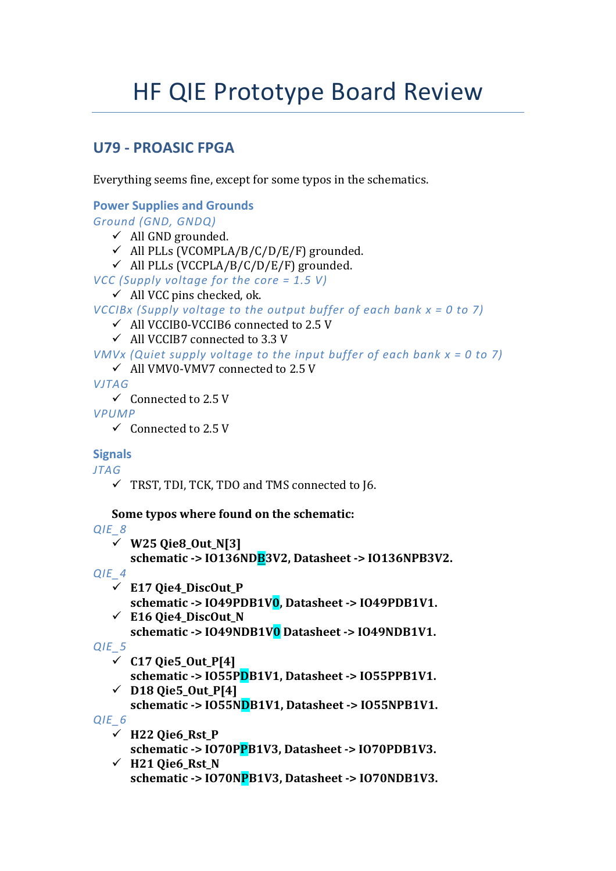# **HF QIE Prototype Board Review**

## **U79 - PROASIC FPGA**

Everything seems fine, except for some typos in the schematics.

```
Power Supplies and Grounds
Ground (GND, GNDQ)
   \checkmark All GND grounded.
   \checkmark All PLLs (VCOMPLA/B/C/D/E/F) grounded.
   \checkmark All PLLs (VCCPLA/B/C/D/E/F) grounded.
VCC (Supply voltage for the core = 1.5 V)
   \checkmark All VCC pins checked, ok.
VCCIBx (Supply voltage to the output buffer of each bank x = 0 to 7)
   \checkmark All VCCIB0-VCCIB6 connected to 2.5 V
   \checkmark All VCCIB7 connected to 3.3 V
VMVx (Quiet supply voltage to the input buffer of each bank x = 0 to 7)
   ← All VMV0-VMV7 connected to 2.5 V
VITAG
   \checkmark Connected to 2.5 V
VPUMP
   \checkmark Connected to 2.5 V
Signals
JTAG
   \checkmark TRST, TDI, TCK, TDO and TMS connected to 16.
   Some typos where found on the schematic:
OIE<sub>8</sub>
   \checkmark W25 Qie8_Out_N[3]
       schematic -> I0136NDB3V2, Datasheet -> I0136NPB3V2.
QIE 4
   \checkmark E17 Qie4_DiscOut_P
       schematic -> 1049PDB1V0, Datasheet -> 1049PDB1V1.
   \checkmark E16 Oie4 DiscOut N
       schematic -> IO49NDB1V0 Datasheet -> IO49NDB1V1.
QIE<sub>5</sub>
   \checkmark C17 Oie5_Out_P[4]
       schematic -> IO55PDB1V1, Datasheet -> IO55PPB1V1.
   \checkmark D18 Qie5_Out_P[4]
       schematic -> IO55NDB1V1, Datasheet -> IO55NPB1V1.
QIE_6\checkmark H22 Qie6_Rst_P
       schematic -> IO70PPB1V3, Datasheet -> IO70PDB1V3.
   \checkmark H21 Qie6_Rst_N
       schematic -> IO70NPB1V3, Datasheet -> IO70NDB1V3.
```